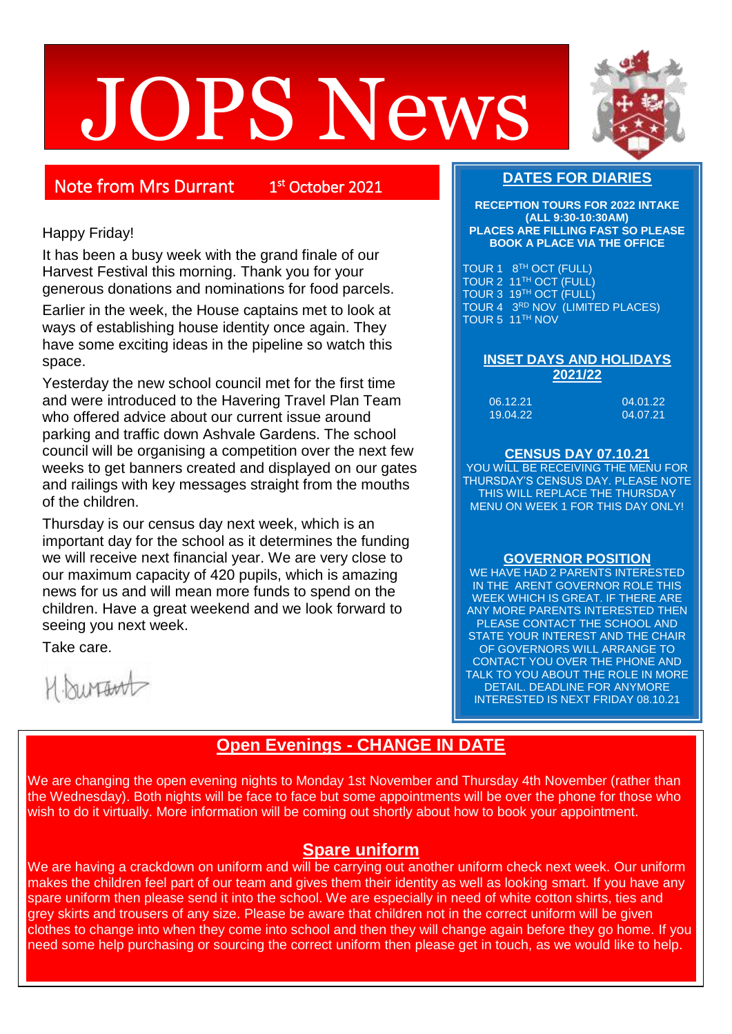# JOPS News



# Note from Mrs Durrant 1

<sup>st</sup> October 2021

## Happy Friday!

It has been a busy week with the grand finale of our Harvest Festival this morning. Thank you for your generous donations and nominations for food parcels.

Earlier in the week, the House captains met to look at ways of establishing house identity once again. They have some exciting ideas in the pipeline so watch this space.

Yesterday the new school council met for the first time and were introduced to the Havering Travel Plan Team who offered advice about our current issue around parking and traffic down Ashvale Gardens. The school council will be organising a competition over the next few weeks to get banners created and displayed on our gates and railings with key messages straight from the mouths of the children.

Thursday is our census day next week, which is an important day for the school as it determines the funding we will receive next financial year. We are very close to our maximum capacity of 420 pupils, which is amazing news for us and will mean more funds to spend on the children. Have a great weekend and we look forward to seeing you next week.

Take care.

H. burtant

# **DATES FOR DIARIES**

**RECEPTION TOURS FOR 2022 INTAKE (ALL 9:30-10:30AM) PLACES ARE FILLING FAST SO PLEASE BOOK A PLACE VIA THE OFFICE**

TOUR 1 8<sup>TH</sup> OCT (FULL) TOUR 2 11<sup>TH</sup> OCT (FULL) TOUR 3 19TH OCT (FULL) TOUR 4 3RD NOV (LIMITED PLACES) TOUR 5 11TH NOV

#### **INSET DAYS AND HOLIDAYS 2021/22**

| 06.12.21 | 04.01.22 |
|----------|----------|
| 19.04.22 | 04.07.21 |

## **CENSUS DAY 07.10.21**

YOU WILL BE RECEIVING THE MENU FOR THURSDAY'S CENSUS DAY. PLEASE NOTE THIS WILL REPLACE THE THURSDAY MENU ON WEEK 1 FOR THIS DAY ONLY!

### **GOVERNOR POSITION**

WE HAVE HAD 2 PARENTS INTERESTED IN THE ARENT GOVERNOR ROLE THIS WEEK WHICH IS GREAT. IF THERE ARE ANY MORE PARENTS INTERESTED THEN PLEASE CONTACT THE SCHOOL AND STATE YOUR INTEREST AND THE CHAIR OF GOVERNORS WILL ARRANGE TO CONTACT YOU OVER THE PHONE AND TALK TO YOU ABOUT THE ROLE IN MORE DETAIL. DEADLINE FOR ANYMORE INTERESTED IS NEXT FRIDAY 08.10.21

# **Open Evenings - CHANGE IN DATE**

We are changing the open evening nights to Monday 1st November and Thursday 4th November (rather than the Wednesday). Both nights will be face to face but some appointments will be over the phone for those who wish to do it virtually. More information will be coming out shortly about how to book your appointment.

# **Spare uniform**

We are having a crackdown on uniform and will be carrying out another uniform check next week. Our uniform makes the children feel part of our team and gives them their identity as well as looking smart. If you have any spare uniform then please send it into the school. We are especially in need of white cotton shirts, ties and grey skirts and trousers of any size. Please be aware that children not in the correct uniform will be given clothes to change into when they come into school and then they will change again before they go home. If you need some help purchasing or sourcing the correct uniform then please get in touch, as we would like to help.